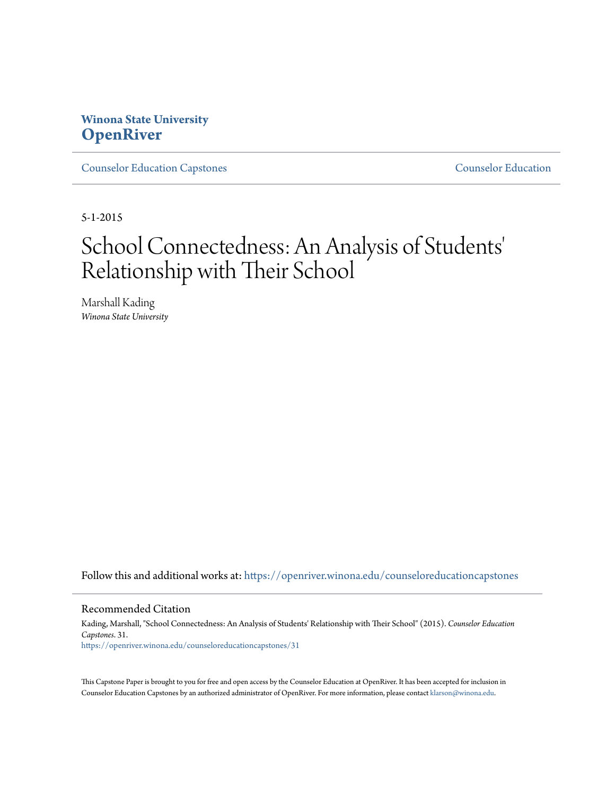## **Winona State University [OpenRiver](https://openriver.winona.edu?utm_source=openriver.winona.edu%2Fcounseloreducationcapstones%2F31&utm_medium=PDF&utm_campaign=PDFCoverPages)**

[Counselor Education Capstones](https://openriver.winona.edu/counseloreducationcapstones?utm_source=openriver.winona.edu%2Fcounseloreducationcapstones%2F31&utm_medium=PDF&utm_campaign=PDFCoverPages) [Counselor Education](https://openriver.winona.edu/counseloreducation?utm_source=openriver.winona.edu%2Fcounseloreducationcapstones%2F31&utm_medium=PDF&utm_campaign=PDFCoverPages)

5-1-2015

# School Connectedness: An Analysis of Students 'Relationship with Their School

Marshall Kading *Winona State University*

Follow this and additional works at: [https://openriver.winona.edu/counseloreducationcapstones](https://openriver.winona.edu/counseloreducationcapstones?utm_source=openriver.winona.edu%2Fcounseloreducationcapstones%2F31&utm_medium=PDF&utm_campaign=PDFCoverPages)

#### Recommended Citation

Kading, Marshall, "School Connectedness: An Analysis of Students' Relationship with Their School" (2015). *Counselor Education Capstones*. 31. [https://openriver.winona.edu/counseloreducationcapstones/31](https://openriver.winona.edu/counseloreducationcapstones/31?utm_source=openriver.winona.edu%2Fcounseloreducationcapstones%2F31&utm_medium=PDF&utm_campaign=PDFCoverPages)

This Capstone Paper is brought to you for free and open access by the Counselor Education at OpenRiver. It has been accepted for inclusion in Counselor Education Capstones by an authorized administrator of OpenRiver. For more information, please contact [klarson@winona.edu](mailto:klarson@winona.edu).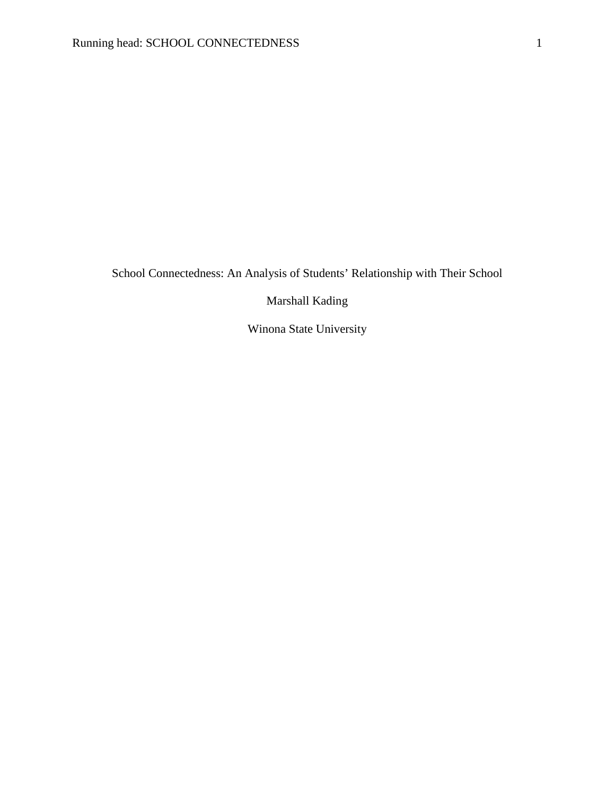School Connectedness: An Analysis of Students' Relationship with Their School

Marshall Kading

Winona State University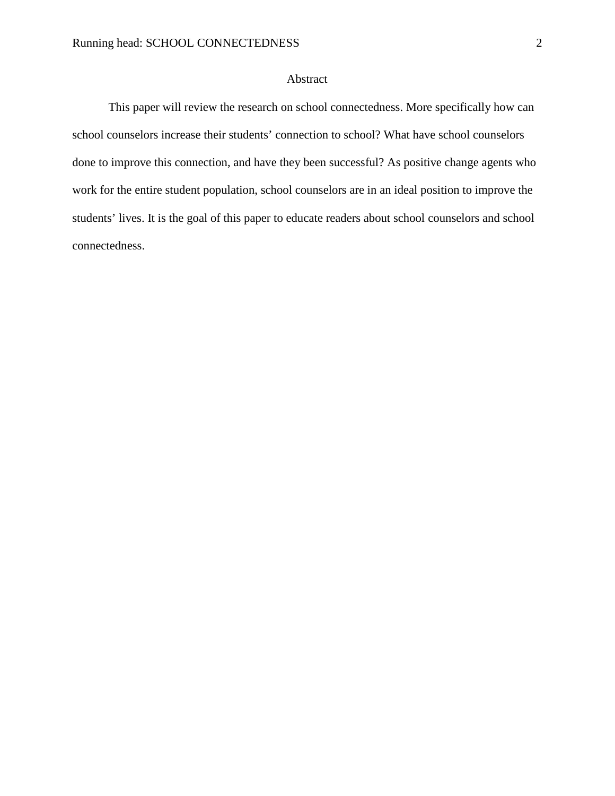#### Abstract

This paper will review the research on school connectedness. More specifically how can school counselors increase their students' connection to school? What have school counselors done to improve this connection, and have they been successful? As positive change agents who work for the entire student population, school counselors are in an ideal position to improve the students' lives. It is the goal of this paper to educate readers about school counselors and school connectedness.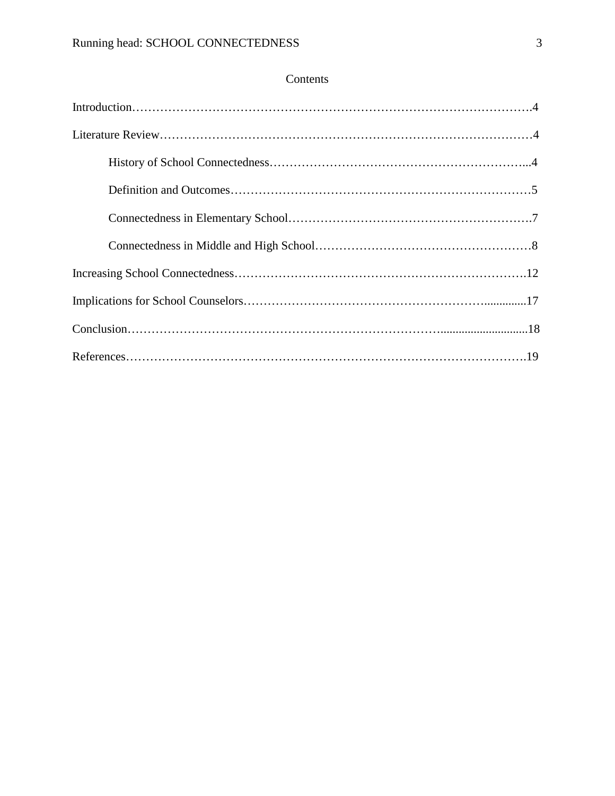### Contents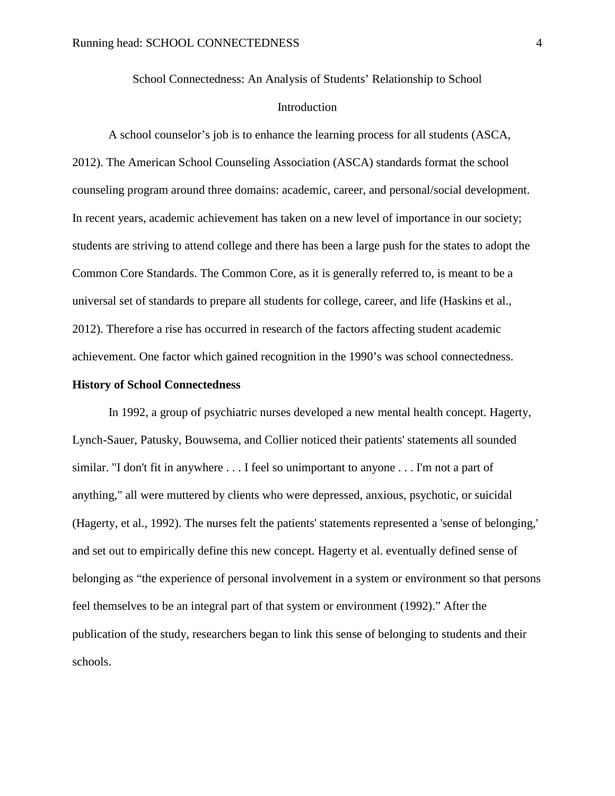School Connectedness: An Analysis of Students' Relationship to School Introduction

A school counselor's job is to enhance the learning process for all students (ASCA, 2012). The American School Counseling Association (ASCA) standards format the school counseling program around three domains: academic, career, and personal/social development. In recent years, academic achievement has taken on a new level of importance in our society; students are striving to attend college and there has been a large push for the states to adopt the Common Core Standards. The Common Core, as it is generally referred to, is meant to be a universal set of standards to prepare all students for college, career, and life (Haskins et al., 2012). Therefore a rise has occurred in research of the factors affecting student academic achievement. One factor which gained recognition in the 1990's was school connectedness.

#### **History of School Connectedness**

In 1992, a group of psychiatric nurses developed a new mental health concept. Hagerty, Lynch-Sauer, Patusky, Bouwsema, and Collier noticed their patients' statements all sounded similar. "I don't fit in anywhere . . . I feel so unimportant to anyone . . . I'm not a part of anything," all were muttered by clients who were depressed, anxious, psychotic, or suicidal (Hagerty, et al., 1992). The nurses felt the patients' statements represented a 'sense of belonging,' and set out to empirically define this new concept. Hagerty et al. eventually defined sense of belonging as "the experience of personal involvement in a system or environment so that persons feel themselves to be an integral part of that system or environment (1992)." After the publication of the study, researchers began to link this sense of belonging to students and their schools.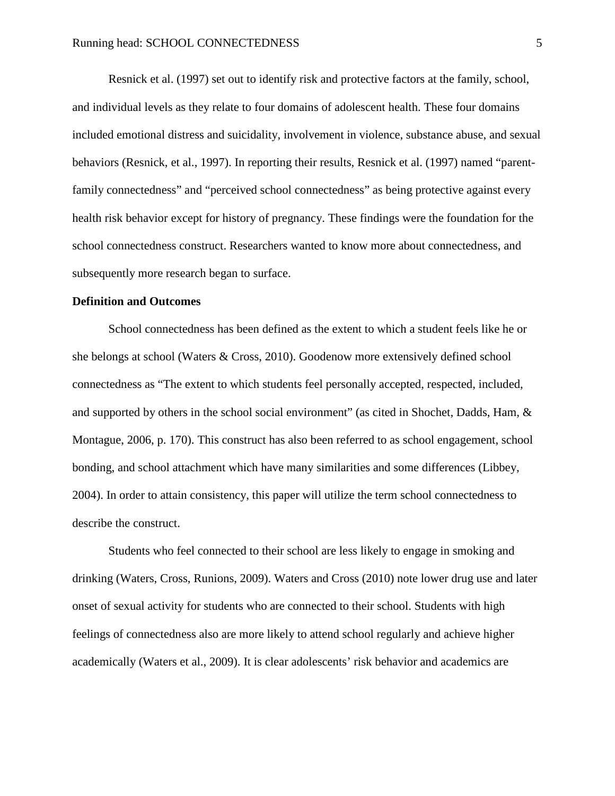Resnick et al. (1997) set out to identify risk and protective factors at the family, school, and individual levels as they relate to four domains of adolescent health. These four domains included emotional distress and suicidality, involvement in violence, substance abuse, and sexual behaviors (Resnick, et al., 1997). In reporting their results, Resnick et al. (1997) named "parentfamily connectedness" and "perceived school connectedness" as being protective against every health risk behavior except for history of pregnancy. These findings were the foundation for the school connectedness construct. Researchers wanted to know more about connectedness, and subsequently more research began to surface.

#### **Definition and Outcomes**

School connectedness has been defined as the extent to which a student feels like he or she belongs at school (Waters & Cross, 2010). Goodenow more extensively defined school connectedness as "The extent to which students feel personally accepted, respected, included, and supported by others in the school social environment" (as cited in Shochet, Dadds, Ham, & Montague, 2006, p. 170). This construct has also been referred to as school engagement, school bonding, and school attachment which have many similarities and some differences (Libbey, 2004). In order to attain consistency, this paper will utilize the term school connectedness to describe the construct.

Students who feel connected to their school are less likely to engage in smoking and drinking (Waters, Cross, Runions, 2009). Waters and Cross (2010) note lower drug use and later onset of sexual activity for students who are connected to their school. Students with high feelings of connectedness also are more likely to attend school regularly and achieve higher academically (Waters et al., 2009). It is clear adolescents' risk behavior and academics are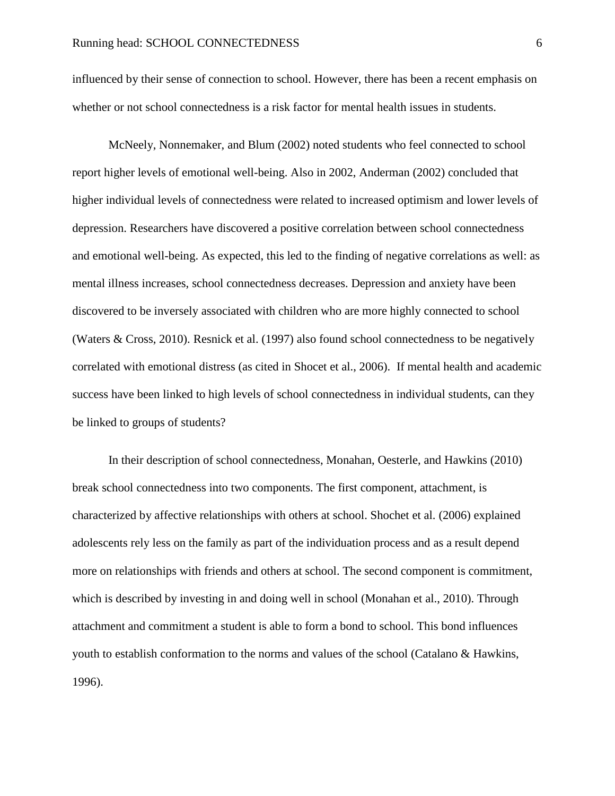influenced by their sense of connection to school. However, there has been a recent emphasis on whether or not school connectedness is a risk factor for mental health issues in students.

McNeely, Nonnemaker, and Blum (2002) noted students who feel connected to school report higher levels of emotional well-being. Also in 2002, Anderman (2002) concluded that higher individual levels of connectedness were related to increased optimism and lower levels of depression. Researchers have discovered a positive correlation between school connectedness and emotional well-being. As expected, this led to the finding of negative correlations as well: as mental illness increases, school connectedness decreases. Depression and anxiety have been discovered to be inversely associated with children who are more highly connected to school (Waters & Cross, 2010). Resnick et al. (1997) also found school connectedness to be negatively correlated with emotional distress (as cited in Shocet et al., 2006). If mental health and academic success have been linked to high levels of school connectedness in individual students, can they be linked to groups of students?

In their description of school connectedness, Monahan, Oesterle, and Hawkins (2010) break school connectedness into two components. The first component, attachment, is characterized by affective relationships with others at school. Shochet et al. (2006) explained adolescents rely less on the family as part of the individuation process and as a result depend more on relationships with friends and others at school. The second component is commitment, which is described by investing in and doing well in school (Monahan et al., 2010). Through attachment and commitment a student is able to form a bond to school. This bond influences youth to establish conformation to the norms and values of the school (Catalano & Hawkins, 1996).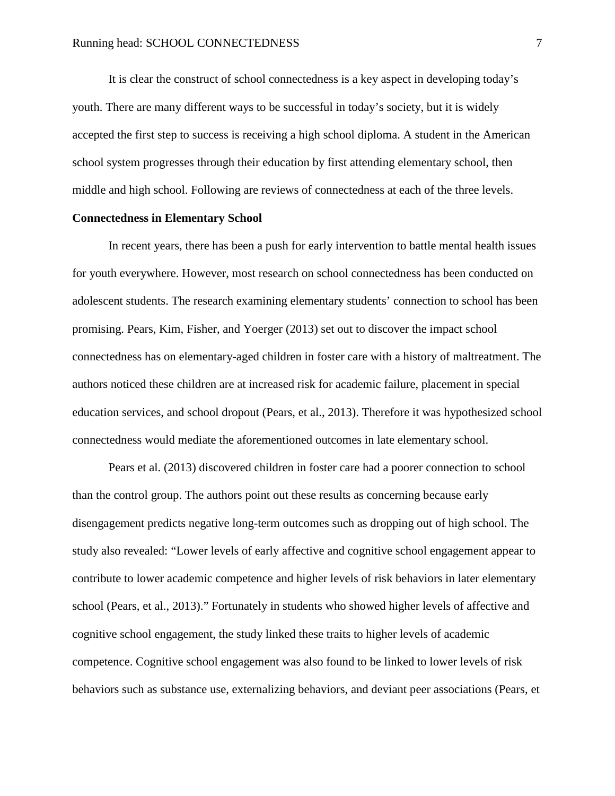It is clear the construct of school connectedness is a key aspect in developing today's youth. There are many different ways to be successful in today's society, but it is widely accepted the first step to success is receiving a high school diploma. A student in the American school system progresses through their education by first attending elementary school, then middle and high school. Following are reviews of connectedness at each of the three levels.

#### **Connectedness in Elementary School**

In recent years, there has been a push for early intervention to battle mental health issues for youth everywhere. However, most research on school connectedness has been conducted on adolescent students. The research examining elementary students' connection to school has been promising. Pears, Kim, Fisher, and Yoerger (2013) set out to discover the impact school connectedness has on elementary-aged children in foster care with a history of maltreatment. The authors noticed these children are at increased risk for academic failure, placement in special education services, and school dropout (Pears, et al., 2013). Therefore it was hypothesized school connectedness would mediate the aforementioned outcomes in late elementary school.

Pears et al. (2013) discovered children in foster care had a poorer connection to school than the control group. The authors point out these results as concerning because early disengagement predicts negative long-term outcomes such as dropping out of high school. The study also revealed: "Lower levels of early affective and cognitive school engagement appear to contribute to lower academic competence and higher levels of risk behaviors in later elementary school (Pears, et al., 2013)." Fortunately in students who showed higher levels of affective and cognitive school engagement, the study linked these traits to higher levels of academic competence. Cognitive school engagement was also found to be linked to lower levels of risk behaviors such as substance use, externalizing behaviors, and deviant peer associations (Pears, et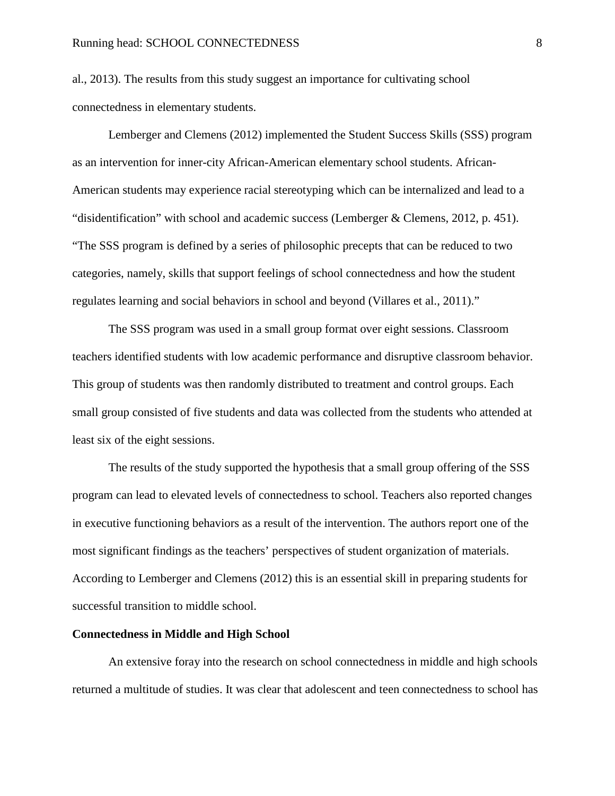al., 2013). The results from this study suggest an importance for cultivating school connectedness in elementary students.

Lemberger and Clemens (2012) implemented the Student Success Skills (SSS) program as an intervention for inner-city African-American elementary school students. African-American students may experience racial stereotyping which can be internalized and lead to a "disidentification" with school and academic success (Lemberger & Clemens, 2012, p. 451). "The SSS program is defined by a series of philosophic precepts that can be reduced to two categories, namely, skills that support feelings of school connectedness and how the student regulates learning and social behaviors in school and beyond (Villares et al., 2011)."

The SSS program was used in a small group format over eight sessions. Classroom teachers identified students with low academic performance and disruptive classroom behavior. This group of students was then randomly distributed to treatment and control groups. Each small group consisted of five students and data was collected from the students who attended at least six of the eight sessions.

The results of the study supported the hypothesis that a small group offering of the SSS program can lead to elevated levels of connectedness to school. Teachers also reported changes in executive functioning behaviors as a result of the intervention. The authors report one of the most significant findings as the teachers' perspectives of student organization of materials. According to Lemberger and Clemens (2012) this is an essential skill in preparing students for successful transition to middle school.

#### **Connectedness in Middle and High School**

An extensive foray into the research on school connectedness in middle and high schools returned a multitude of studies. It was clear that adolescent and teen connectedness to school has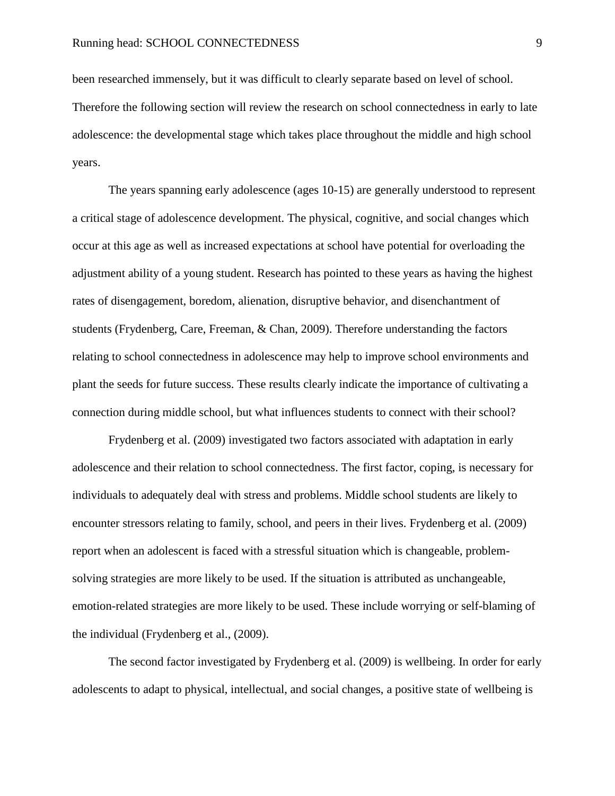been researched immensely, but it was difficult to clearly separate based on level of school. Therefore the following section will review the research on school connectedness in early to late adolescence: the developmental stage which takes place throughout the middle and high school years.

The years spanning early adolescence (ages 10-15) are generally understood to represent a critical stage of adolescence development. The physical, cognitive, and social changes which occur at this age as well as increased expectations at school have potential for overloading the adjustment ability of a young student. Research has pointed to these years as having the highest rates of disengagement, boredom, alienation, disruptive behavior, and disenchantment of students (Frydenberg, Care, Freeman, & Chan, 2009). Therefore understanding the factors relating to school connectedness in adolescence may help to improve school environments and plant the seeds for future success. These results clearly indicate the importance of cultivating a connection during middle school, but what influences students to connect with their school?

Frydenberg et al. (2009) investigated two factors associated with adaptation in early adolescence and their relation to school connectedness. The first factor, coping, is necessary for individuals to adequately deal with stress and problems. Middle school students are likely to encounter stressors relating to family, school, and peers in their lives. Frydenberg et al. (2009) report when an adolescent is faced with a stressful situation which is changeable, problemsolving strategies are more likely to be used. If the situation is attributed as unchangeable, emotion-related strategies are more likely to be used. These include worrying or self-blaming of the individual (Frydenberg et al., (2009).

The second factor investigated by Frydenberg et al. (2009) is wellbeing. In order for early adolescents to adapt to physical, intellectual, and social changes, a positive state of wellbeing is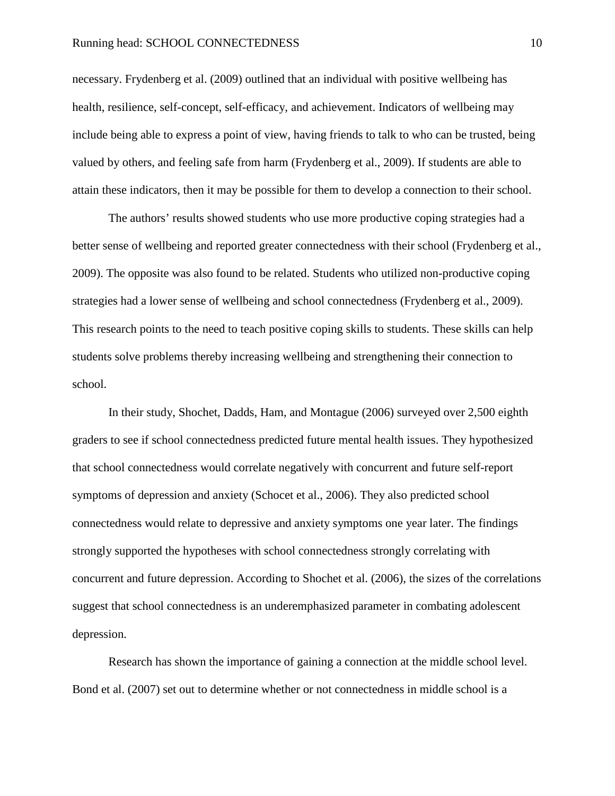#### Running head: SCHOOL CONNECTEDNESS 10

necessary. Frydenberg et al. (2009) outlined that an individual with positive wellbeing has health, resilience, self-concept, self-efficacy, and achievement. Indicators of wellbeing may include being able to express a point of view, having friends to talk to who can be trusted, being valued by others, and feeling safe from harm (Frydenberg et al., 2009). If students are able to attain these indicators, then it may be possible for them to develop a connection to their school.

The authors' results showed students who use more productive coping strategies had a better sense of wellbeing and reported greater connectedness with their school (Frydenberg et al., 2009). The opposite was also found to be related. Students who utilized non-productive coping strategies had a lower sense of wellbeing and school connectedness (Frydenberg et al., 2009). This research points to the need to teach positive coping skills to students. These skills can help students solve problems thereby increasing wellbeing and strengthening their connection to school.

In their study, Shochet, Dadds, Ham, and Montague (2006) surveyed over 2,500 eighth graders to see if school connectedness predicted future mental health issues. They hypothesized that school connectedness would correlate negatively with concurrent and future self-report symptoms of depression and anxiety (Schocet et al., 2006). They also predicted school connectedness would relate to depressive and anxiety symptoms one year later. The findings strongly supported the hypotheses with school connectedness strongly correlating with concurrent and future depression. According to Shochet et al. (2006), the sizes of the correlations suggest that school connectedness is an underemphasized parameter in combating adolescent depression.

Research has shown the importance of gaining a connection at the middle school level. Bond et al. (2007) set out to determine whether or not connectedness in middle school is a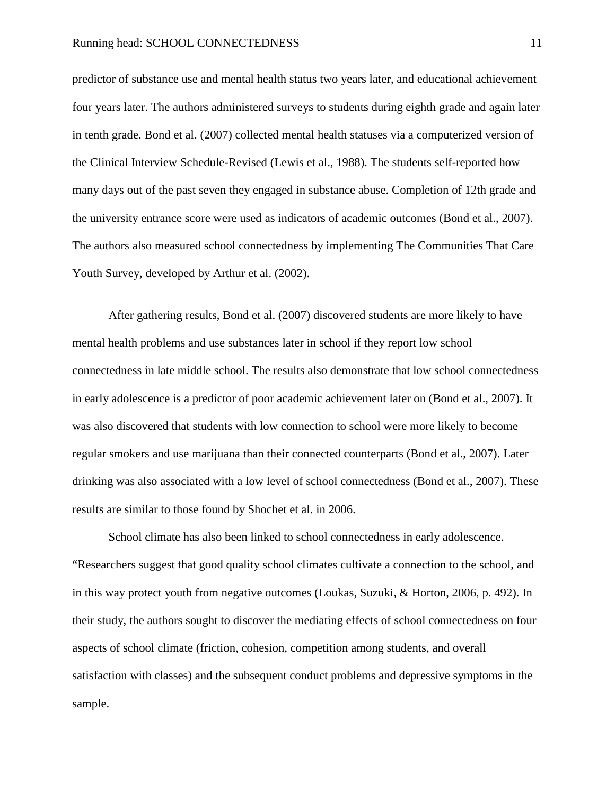predictor of substance use and mental health status two years later, and educational achievement four years later. The authors administered surveys to students during eighth grade and again later in tenth grade. Bond et al. (2007) collected mental health statuses via a computerized version of the Clinical Interview Schedule-Revised (Lewis et al., 1988). The students self-reported how many days out of the past seven they engaged in substance abuse. Completion of 12th grade and the university entrance score were used as indicators of academic outcomes (Bond et al., 2007). The authors also measured school connectedness by implementing The Communities That Care Youth Survey, developed by Arthur et al. (2002).

After gathering results, Bond et al. (2007) discovered students are more likely to have mental health problems and use substances later in school if they report low school connectedness in late middle school. The results also demonstrate that low school connectedness in early adolescence is a predictor of poor academic achievement later on (Bond et al., 2007). It was also discovered that students with low connection to school were more likely to become regular smokers and use marijuana than their connected counterparts (Bond et al., 2007). Later drinking was also associated with a low level of school connectedness (Bond et al., 2007). These results are similar to those found by Shochet et al. in 2006.

School climate has also been linked to school connectedness in early adolescence. "Researchers suggest that good quality school climates cultivate a connection to the school, and in this way protect youth from negative outcomes (Loukas, Suzuki, & Horton, 2006, p. 492). In their study, the authors sought to discover the mediating effects of school connectedness on four aspects of school climate (friction, cohesion, competition among students, and overall satisfaction with classes) and the subsequent conduct problems and depressive symptoms in the sample.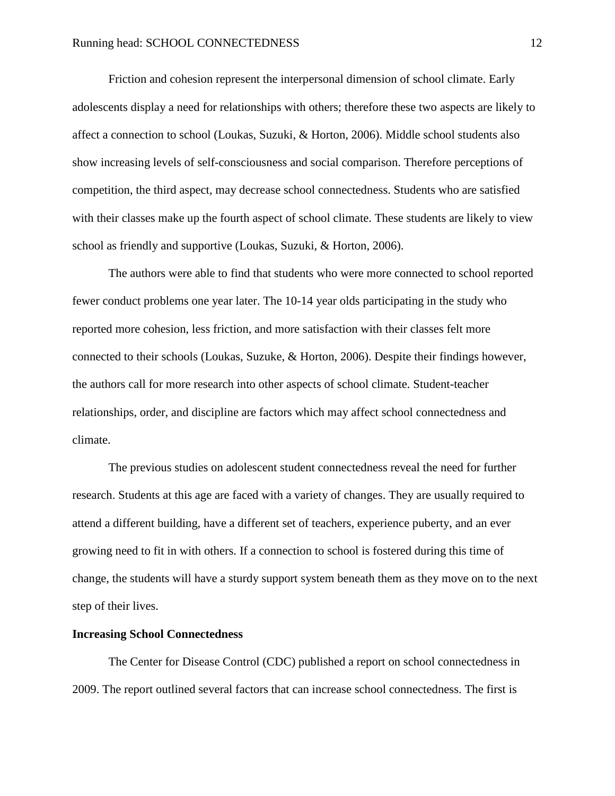Friction and cohesion represent the interpersonal dimension of school climate. Early adolescents display a need for relationships with others; therefore these two aspects are likely to affect a connection to school (Loukas, Suzuki, & Horton, 2006). Middle school students also show increasing levels of self-consciousness and social comparison. Therefore perceptions of competition, the third aspect, may decrease school connectedness. Students who are satisfied with their classes make up the fourth aspect of school climate. These students are likely to view school as friendly and supportive (Loukas, Suzuki, & Horton, 2006).

The authors were able to find that students who were more connected to school reported fewer conduct problems one year later. The 10-14 year olds participating in the study who reported more cohesion, less friction, and more satisfaction with their classes felt more connected to their schools (Loukas, Suzuke, & Horton, 2006). Despite their findings however, the authors call for more research into other aspects of school climate. Student-teacher relationships, order, and discipline are factors which may affect school connectedness and climate.

The previous studies on adolescent student connectedness reveal the need for further research. Students at this age are faced with a variety of changes. They are usually required to attend a different building, have a different set of teachers, experience puberty, and an ever growing need to fit in with others. If a connection to school is fostered during this time of change, the students will have a sturdy support system beneath them as they move on to the next step of their lives.

#### **Increasing School Connectedness**

The Center for Disease Control (CDC) published a report on school connectedness in 2009. The report outlined several factors that can increase school connectedness. The first is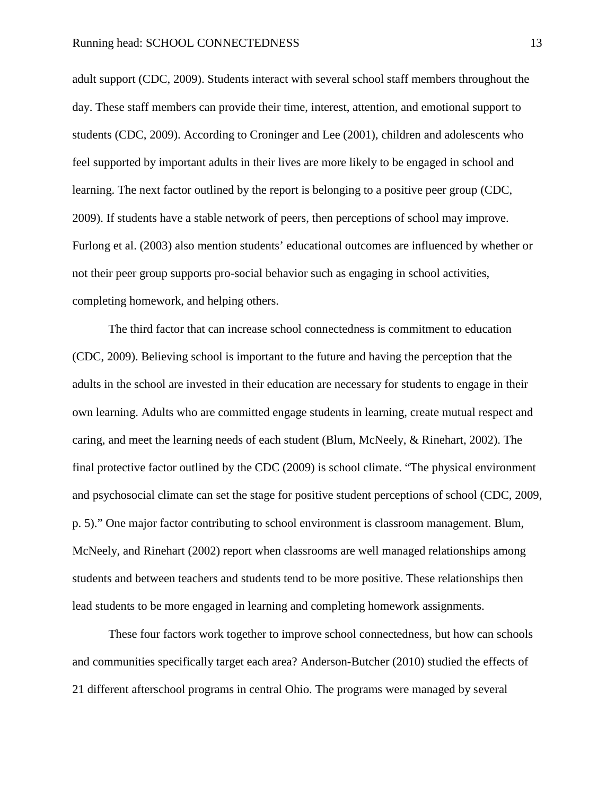adult support (CDC, 2009). Students interact with several school staff members throughout the day. These staff members can provide their time, interest, attention, and emotional support to students (CDC, 2009). According to Croninger and Lee (2001), children and adolescents who feel supported by important adults in their lives are more likely to be engaged in school and learning. The next factor outlined by the report is belonging to a positive peer group (CDC, 2009). If students have a stable network of peers, then perceptions of school may improve. Furlong et al. (2003) also mention students' educational outcomes are influenced by whether or not their peer group supports pro-social behavior such as engaging in school activities, completing homework, and helping others.

The third factor that can increase school connectedness is commitment to education (CDC, 2009). Believing school is important to the future and having the perception that the adults in the school are invested in their education are necessary for students to engage in their own learning. Adults who are committed engage students in learning, create mutual respect and caring, and meet the learning needs of each student (Blum, McNeely, & Rinehart, 2002). The final protective factor outlined by the CDC (2009) is school climate. "The physical environment and psychosocial climate can set the stage for positive student perceptions of school (CDC, 2009, p. 5)." One major factor contributing to school environment is classroom management. Blum, McNeely, and Rinehart (2002) report when classrooms are well managed relationships among students and between teachers and students tend to be more positive. These relationships then lead students to be more engaged in learning and completing homework assignments.

These four factors work together to improve school connectedness, but how can schools and communities specifically target each area? Anderson-Butcher (2010) studied the effects of 21 different afterschool programs in central Ohio. The programs were managed by several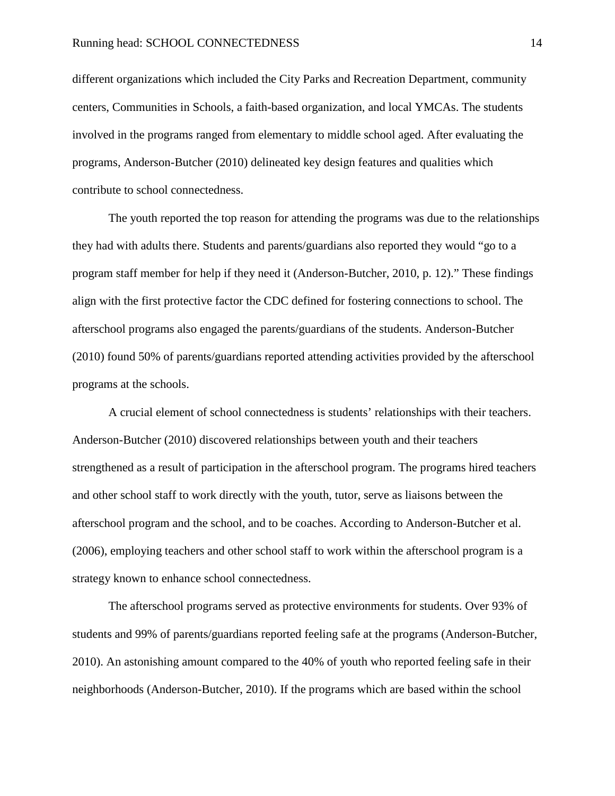different organizations which included the City Parks and Recreation Department, community centers, Communities in Schools, a faith-based organization, and local YMCAs. The students involved in the programs ranged from elementary to middle school aged. After evaluating the programs, Anderson-Butcher (2010) delineated key design features and qualities which contribute to school connectedness.

The youth reported the top reason for attending the programs was due to the relationships they had with adults there. Students and parents/guardians also reported they would "go to a program staff member for help if they need it (Anderson-Butcher, 2010, p. 12)." These findings align with the first protective factor the CDC defined for fostering connections to school. The afterschool programs also engaged the parents/guardians of the students. Anderson-Butcher (2010) found 50% of parents/guardians reported attending activities provided by the afterschool programs at the schools.

A crucial element of school connectedness is students' relationships with their teachers. Anderson-Butcher (2010) discovered relationships between youth and their teachers strengthened as a result of participation in the afterschool program. The programs hired teachers and other school staff to work directly with the youth, tutor, serve as liaisons between the afterschool program and the school, and to be coaches. According to Anderson-Butcher et al. (2006), employing teachers and other school staff to work within the afterschool program is a strategy known to enhance school connectedness.

The afterschool programs served as protective environments for students. Over 93% of students and 99% of parents/guardians reported feeling safe at the programs (Anderson-Butcher, 2010). An astonishing amount compared to the 40% of youth who reported feeling safe in their neighborhoods (Anderson-Butcher, 2010). If the programs which are based within the school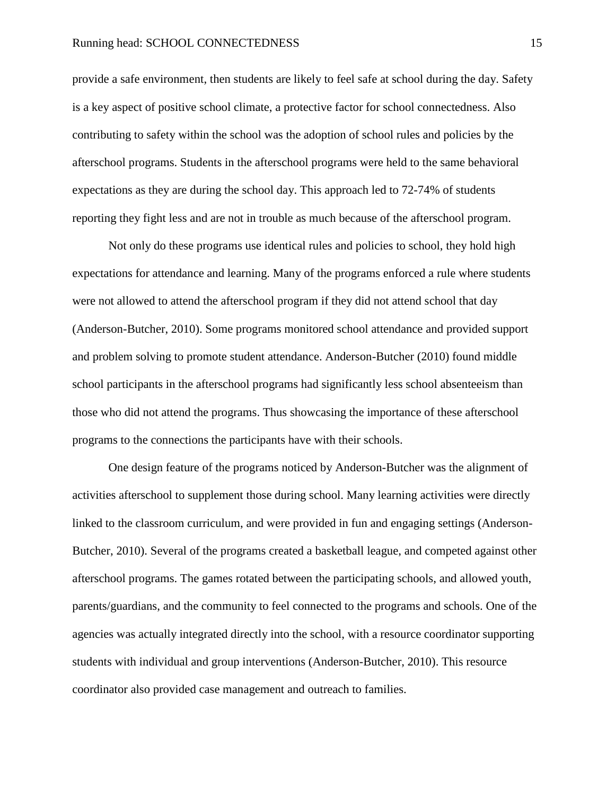provide a safe environment, then students are likely to feel safe at school during the day. Safety is a key aspect of positive school climate, a protective factor for school connectedness. Also contributing to safety within the school was the adoption of school rules and policies by the afterschool programs. Students in the afterschool programs were held to the same behavioral expectations as they are during the school day. This approach led to 72-74% of students reporting they fight less and are not in trouble as much because of the afterschool program.

Not only do these programs use identical rules and policies to school, they hold high expectations for attendance and learning. Many of the programs enforced a rule where students were not allowed to attend the afterschool program if they did not attend school that day (Anderson-Butcher, 2010). Some programs monitored school attendance and provided support and problem solving to promote student attendance. Anderson-Butcher (2010) found middle school participants in the afterschool programs had significantly less school absenteeism than those who did not attend the programs. Thus showcasing the importance of these afterschool programs to the connections the participants have with their schools.

One design feature of the programs noticed by Anderson-Butcher was the alignment of activities afterschool to supplement those during school. Many learning activities were directly linked to the classroom curriculum, and were provided in fun and engaging settings (Anderson-Butcher, 2010). Several of the programs created a basketball league, and competed against other afterschool programs. The games rotated between the participating schools, and allowed youth, parents/guardians, and the community to feel connected to the programs and schools. One of the agencies was actually integrated directly into the school, with a resource coordinator supporting students with individual and group interventions (Anderson-Butcher, 2010). This resource coordinator also provided case management and outreach to families.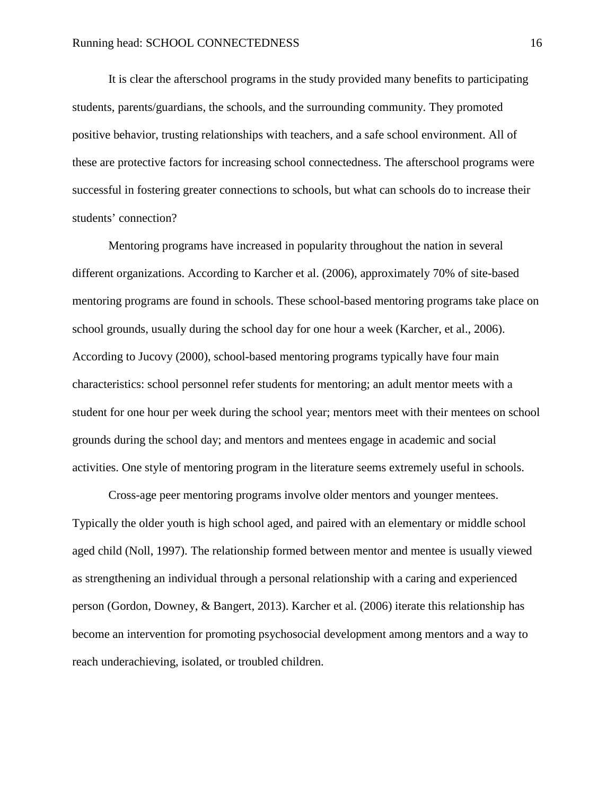It is clear the afterschool programs in the study provided many benefits to participating students, parents/guardians, the schools, and the surrounding community. They promoted positive behavior, trusting relationships with teachers, and a safe school environment. All of these are protective factors for increasing school connectedness. The afterschool programs were successful in fostering greater connections to schools, but what can schools do to increase their students' connection?

Mentoring programs have increased in popularity throughout the nation in several different organizations. According to Karcher et al. (2006), approximately 70% of site-based mentoring programs are found in schools. These school-based mentoring programs take place on school grounds, usually during the school day for one hour a week (Karcher, et al., 2006). According to Jucovy (2000), school-based mentoring programs typically have four main characteristics: school personnel refer students for mentoring; an adult mentor meets with a student for one hour per week during the school year; mentors meet with their mentees on school grounds during the school day; and mentors and mentees engage in academic and social activities. One style of mentoring program in the literature seems extremely useful in schools.

Cross-age peer mentoring programs involve older mentors and younger mentees. Typically the older youth is high school aged, and paired with an elementary or middle school aged child (Noll, 1997). The relationship formed between mentor and mentee is usually viewed as strengthening an individual through a personal relationship with a caring and experienced person (Gordon, Downey, & Bangert, 2013). Karcher et al. (2006) iterate this relationship has become an intervention for promoting psychosocial development among mentors and a way to reach underachieving, isolated, or troubled children.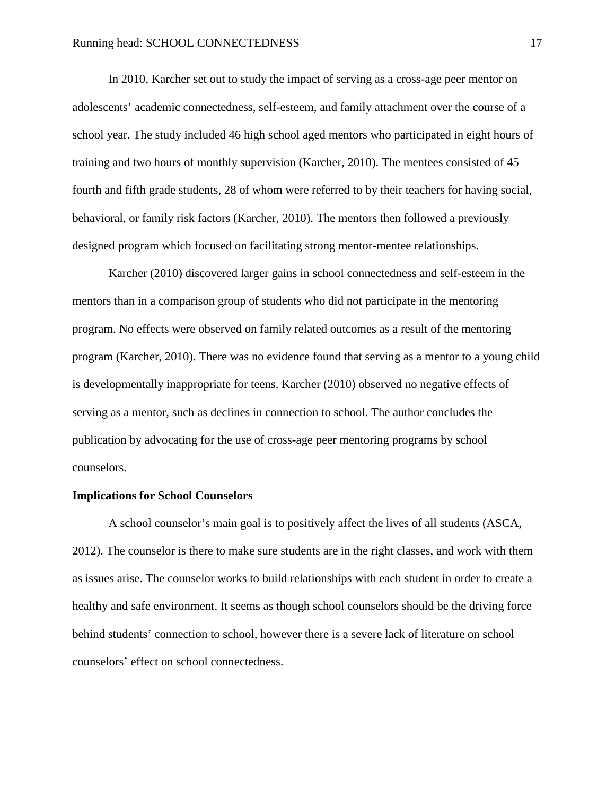In 2010, Karcher set out to study the impact of serving as a cross-age peer mentor on adolescents' academic connectedness, self-esteem, and family attachment over the course of a school year. The study included 46 high school aged mentors who participated in eight hours of training and two hours of monthly supervision (Karcher, 2010). The mentees consisted of 45 fourth and fifth grade students, 28 of whom were referred to by their teachers for having social, behavioral, or family risk factors (Karcher, 2010). The mentors then followed a previously designed program which focused on facilitating strong mentor-mentee relationships.

Karcher (2010) discovered larger gains in school connectedness and self-esteem in the mentors than in a comparison group of students who did not participate in the mentoring program. No effects were observed on family related outcomes as a result of the mentoring program (Karcher, 2010). There was no evidence found that serving as a mentor to a young child is developmentally inappropriate for teens. Karcher (2010) observed no negative effects of serving as a mentor, such as declines in connection to school. The author concludes the publication by advocating for the use of cross-age peer mentoring programs by school counselors.

#### **Implications for School Counselors**

A school counselor's main goal is to positively affect the lives of all students (ASCA, 2012). The counselor is there to make sure students are in the right classes, and work with them as issues arise. The counselor works to build relationships with each student in order to create a healthy and safe environment. It seems as though school counselors should be the driving force behind students' connection to school, however there is a severe lack of literature on school counselors' effect on school connectedness.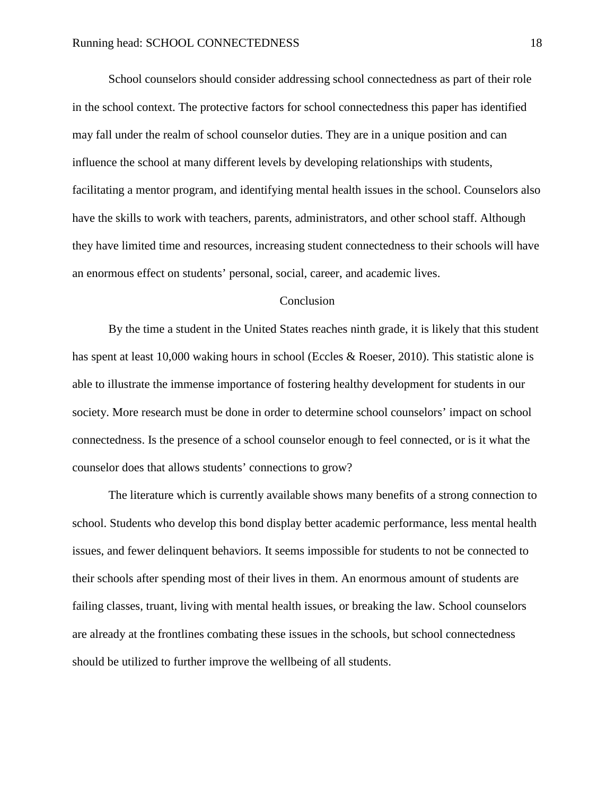School counselors should consider addressing school connectedness as part of their role in the school context. The protective factors for school connectedness this paper has identified may fall under the realm of school counselor duties. They are in a unique position and can influence the school at many different levels by developing relationships with students, facilitating a mentor program, and identifying mental health issues in the school. Counselors also have the skills to work with teachers, parents, administrators, and other school staff. Although they have limited time and resources, increasing student connectedness to their schools will have an enormous effect on students' personal, social, career, and academic lives.

#### Conclusion

By the time a student in the United States reaches ninth grade, it is likely that this student has spent at least 10,000 waking hours in school (Eccles & Roeser, 2010). This statistic alone is able to illustrate the immense importance of fostering healthy development for students in our society. More research must be done in order to determine school counselors' impact on school connectedness. Is the presence of a school counselor enough to feel connected, or is it what the counselor does that allows students' connections to grow?

The literature which is currently available shows many benefits of a strong connection to school. Students who develop this bond display better academic performance, less mental health issues, and fewer delinquent behaviors. It seems impossible for students to not be connected to their schools after spending most of their lives in them. An enormous amount of students are failing classes, truant, living with mental health issues, or breaking the law. School counselors are already at the frontlines combating these issues in the schools, but school connectedness should be utilized to further improve the wellbeing of all students.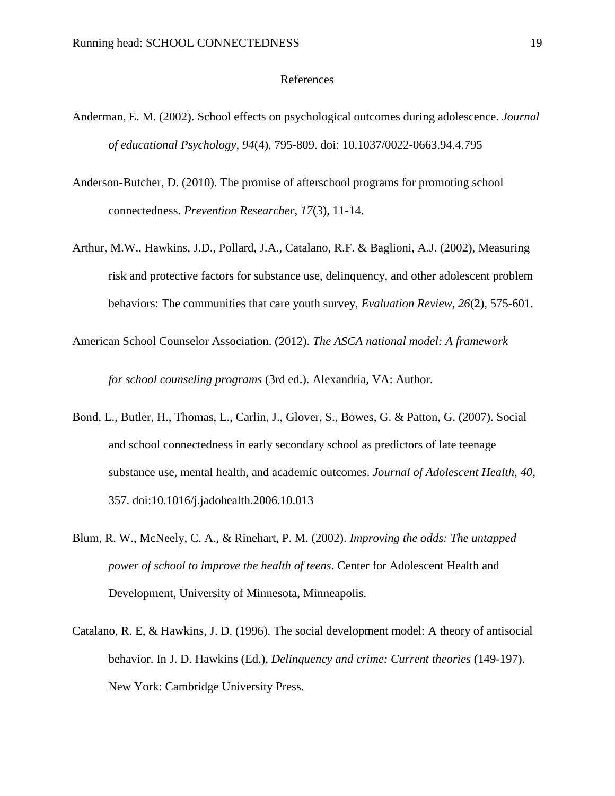#### References

- Anderman, E. M. (2002). School effects on psychological outcomes during adolescence. *Journal of educational Psychology*, *94*(4), 795-809. doi: 10.1037/0022-0663.94.4.795
- Anderson-Butcher, D. (2010). The promise of afterschool programs for promoting school connectedness. *Prevention Researcher*, *17*(3), 11-14.
- Arthur, M.W., Hawkins, J.D., Pollard, J.A., Catalano, R.F. & Baglioni, A.J. (2002), Measuring risk and protective factors for substance use, delinquency, and other adolescent problem behaviors: The communities that care youth survey, *Evaluation Review*, *26*(2), 575-601.
- American School Counselor Association. (2012). *The ASCA national model: A framework for school counseling programs* (3rd ed.). Alexandria, VA: Author.
- Bond, L., Butler, H., Thomas, L., Carlin, J., Glover, S., Bowes, G. & Patton, G. (2007). Social and school connectedness in early secondary school as predictors of late teenage substance use, mental health, and academic outcomes. *Journal of Adolescent Health*, *40*, 357. doi:10.1016/j.jadohealth.2006.10.013
- Blum, R. W., McNeely, C. A., & Rinehart, P. M. (2002). *Improving the odds: The untapped power of school to improve the health of teens*. Center for Adolescent Health and Development, University of Minnesota, Minneapolis.
- Catalano, R. E, & Hawkins, J. D. (1996). The social development model: A theory of antisocial behavior. In J. D. Hawkins (Ed.), *Delinquency and crime: Current theories* (149-197). New York: Cambridge University Press.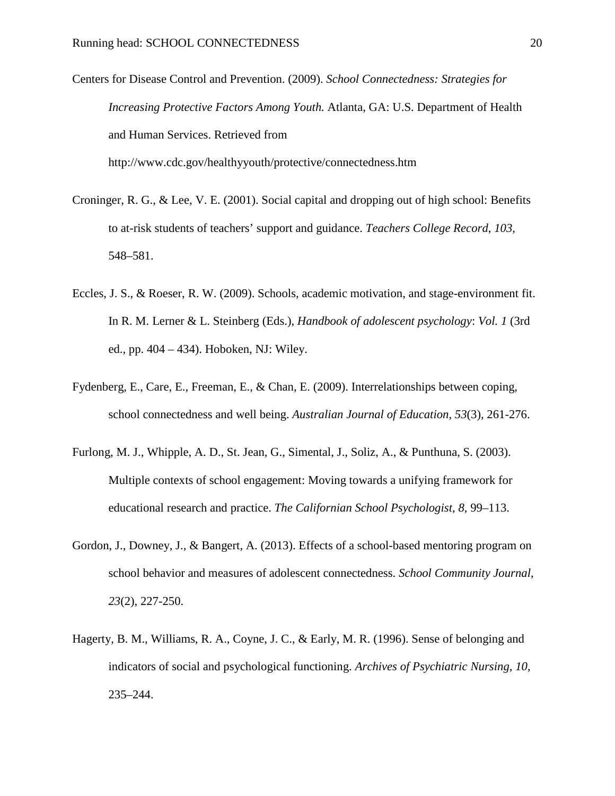- Centers for Disease Control and Prevention. (2009). *School Connectedness: Strategies for Increasing Protective Factors Among Youth.* Atlanta, GA: U.S. Department of Health and Human Services. Retrieved from http://www.cdc.gov/healthyyouth/protective/connectedness.htm
- Croninger, R. G., & Lee, V. E. (2001). Social capital and dropping out of high school: Benefits to at-risk students of teachers' support and guidance. *Teachers College Record*, *103*, 548–581.
- Eccles, J. S., & Roeser, R. W. (2009). Schools, academic motivation, and stage-environment fit. In R. M. Lerner & L. Steinberg (Eds.), *Handbook of adolescent psychology*: *Vol. 1* (3rd ed., pp. 404 – 434). Hoboken, NJ: Wiley.
- Fydenberg, E., Care, E., Freeman, E., & Chan, E. (2009). Interrelationships between coping, school connectedness and well being. *Australian Journal of Education*, *53*(3), 261-276.
- Furlong, M. J., Whipple, A. D., St. Jean, G., Simental, J., Soliz, A., & Punthuna, S. (2003). Multiple contexts of school engagement: Moving towards a unifying framework for educational research and practice. *The Californian School Psychologist*, *8*, 99–113.
- Gordon, J., Downey, J., & Bangert, A. (2013). Effects of a school-based mentoring program on school behavior and measures of adolescent connectedness. *School Community Journal*, *23*(2), 227-250.
- Hagerty, B. M., Williams, R. A., Coyne, J. C., & Early, M. R. (1996). Sense of belonging and indicators of social and psychological functioning. *Archives of Psychiatric Nursing*, *10*, 235–244.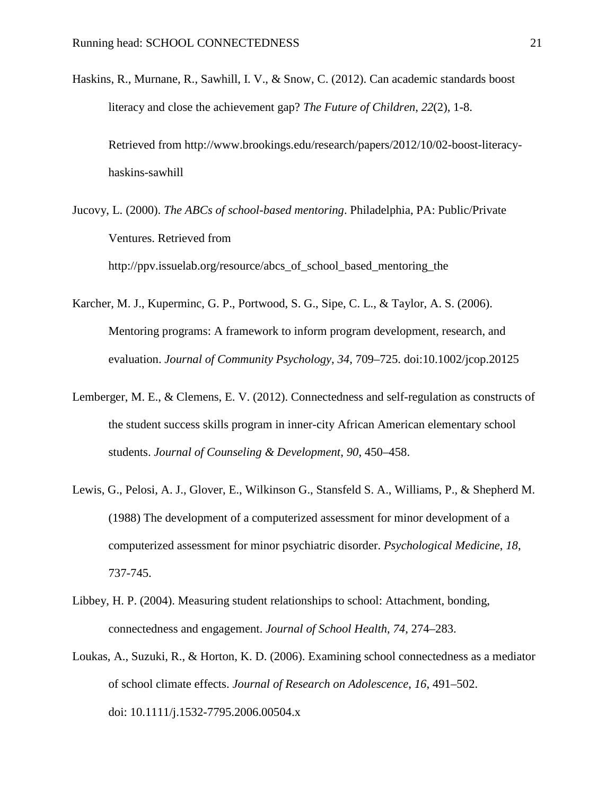- Haskins, R., Murnane, R., Sawhill, I. V., & Snow, C. (2012). Can academic standards boost literacy and close the achievement gap? *The Future of Children*, *22*(2), 1-8. Retrieved from http://www.brookings.edu/research/papers/2012/10/02-boost-literacyhaskins-sawhill
- Jucovy, L. (2000). *The ABCs of school-based mentoring*. Philadelphia, PA: Public/Private Ventures. Retrieved from http://ppv.issuelab.org/resource/abcs\_of\_school\_based\_mentoring\_the
- Karcher, M. J., Kuperminc, G. P., Portwood, S. G., Sipe, C. L., & Taylor, A. S. (2006). Mentoring programs: A framework to inform program development, research, and evaluation. *Journal of Community Psychology*, *34*, 709–725. doi:10.1002/jcop.20125
- Lemberger, M. E., & Clemens, E. V. (2012). Connectedness and self-regulation as constructs of the student success skills program in inner-city African American elementary school students. *Journal of Counseling & Development*, *90*, 450–458.
- Lewis, G., Pelosi, A. J., Glover, E., Wilkinson G., Stansfeld S. A., Williams, P., & Shepherd M. (1988) The development of a computerized assessment for minor development of a computerized assessment for minor psychiatric disorder. *Psychological Medicine*, *18*, 737-745.
- Libbey, H. P. (2004). Measuring student relationships to school: Attachment, bonding, connectedness and engagement. *Journal of School Health*, *74*, 274–283.
- Loukas, A., Suzuki, R., & Horton, K. D. (2006). Examining school connectedness as a mediator of school climate effects. *Journal of Research on Adolescence*, *16*, 491–502. doi: 10.1111/j.1532-7795.2006.00504.x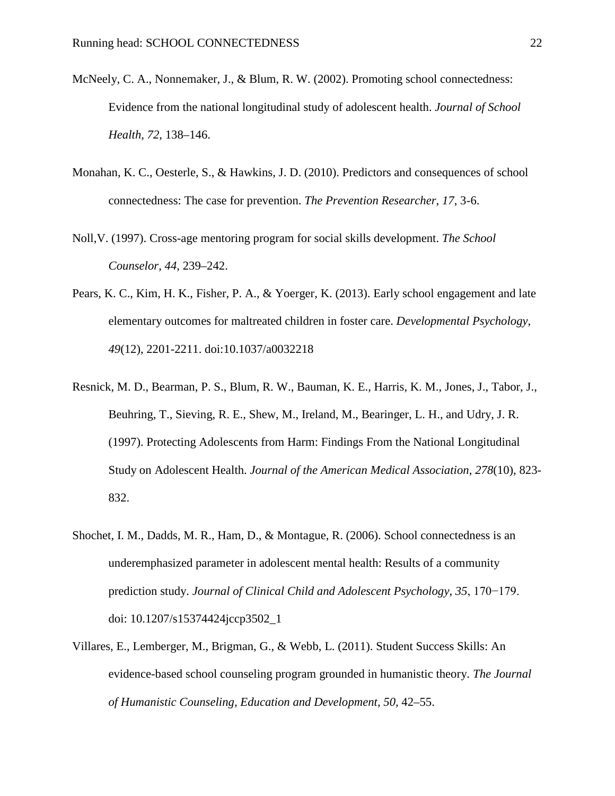- McNeely, C. A., Nonnemaker, J., & Blum, R. W. (2002). Promoting school connectedness: Evidence from the national longitudinal study of adolescent health. *Journal of School Health*, *72*, 138–146.
- Monahan, K. C., Oesterle, S., & Hawkins, J. D. (2010). Predictors and consequences of school connectedness: The case for prevention. *The Prevention Researcher*, *17*, 3-6.
- Noll,V. (1997). Cross-age mentoring program for social skills development. *The School Counselor*, *44*, 239–242.
- Pears, K. C., Kim, H. K., Fisher, P. A., & Yoerger, K. (2013). Early school engagement and late elementary outcomes for maltreated children in foster care. *Developmental Psychology*, *49*(12), 2201-2211. doi:10.1037/a0032218
- Resnick, M. D., Bearman, P. S., Blum, R. W., Bauman, K. E., Harris, K. M., Jones, J., Tabor, J., Beuhring, T., Sieving, R. E., Shew, M., Ireland, M., Bearinger, L. H., and Udry, J. R. (1997). Protecting Adolescents from Harm: Findings From the National Longitudinal Study on Adolescent Health. *Journal of the American Medical Association*, *278*(10), 823- 832.
- Shochet, I. M., Dadds, M. R., Ham, D., & Montague, R. (2006). School connectedness is an underemphasized parameter in adolescent mental health: Results of a community prediction study. *Journal of Clinical Child and Adolescent Psychology*, *35*, 170−179. doi: 10.1207/s15374424jccp3502\_1
- Villares, E., Lemberger, M., Brigman, G., & Webb, L. (2011). Student Success Skills: An evidence-based school counseling program grounded in humanistic theory. *The Journal of Humanistic Counseling, Education and Development, 50,* 42–55.